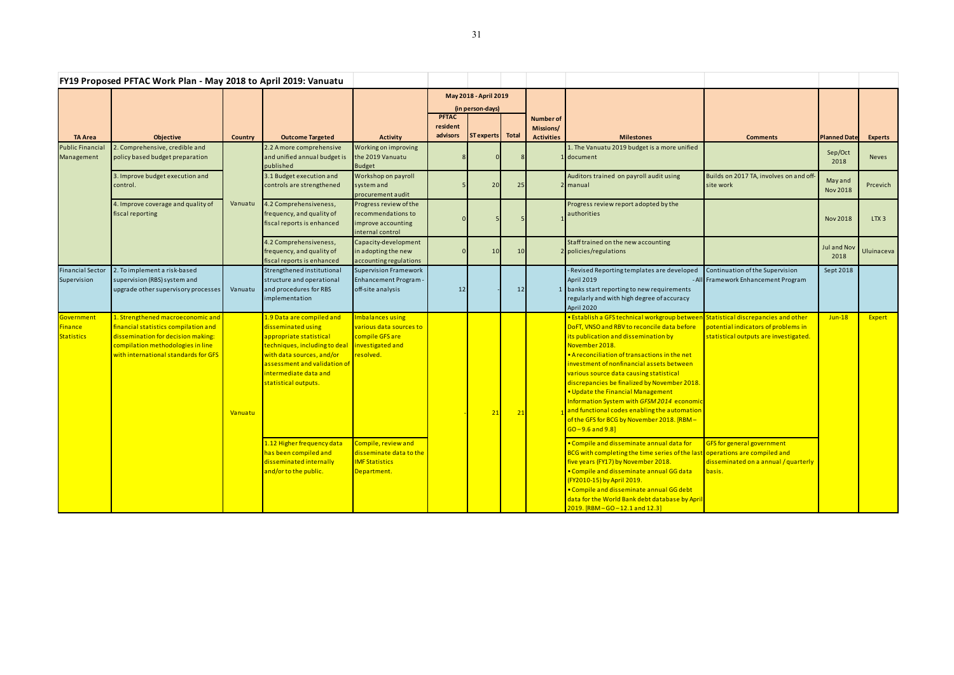|                                                   | FY19 Proposed PFTAC Work Plan - May 2018 to April 2019: Vanuatu                                                                                                                              |                |                                                                                                                                                                                                                                            |                                                                                        |                                           |                  |    |                                                    |                                                                                                                                                                                                                                                                                                                                                                                                                                                                                                                                                            |                                                                                                                     |                                   |                |
|---------------------------------------------------|----------------------------------------------------------------------------------------------------------------------------------------------------------------------------------------------|----------------|--------------------------------------------------------------------------------------------------------------------------------------------------------------------------------------------------------------------------------------------|----------------------------------------------------------------------------------------|-------------------------------------------|------------------|----|----------------------------------------------------|------------------------------------------------------------------------------------------------------------------------------------------------------------------------------------------------------------------------------------------------------------------------------------------------------------------------------------------------------------------------------------------------------------------------------------------------------------------------------------------------------------------------------------------------------------|---------------------------------------------------------------------------------------------------------------------|-----------------------------------|----------------|
|                                                   |                                                                                                                                                                                              |                |                                                                                                                                                                                                                                            |                                                                                        | May 2018 - April 2019<br>(in person-days) |                  |    |                                                    |                                                                                                                                                                                                                                                                                                                                                                                                                                                                                                                                                            |                                                                                                                     |                                   |                |
| <b>TA Area</b>                                    | <b>Objective</b>                                                                                                                                                                             | <b>Country</b> | <b>Outcome Targeted</b>                                                                                                                                                                                                                    | <b>Activity</b>                                                                        | <b>PFTAC</b><br>resident<br>advisors      | ST experts Total |    | <b>Number of</b><br>Missions/<br><b>Activities</b> | <b>Milestones</b>                                                                                                                                                                                                                                                                                                                                                                                                                                                                                                                                          | <b>Comments</b>                                                                                                     | <b>Planned Date</b>               | <b>Experts</b> |
| <b>Public Financial</b><br>Management             | 2. Comprehensive, credible and<br>policy based budget preparation                                                                                                                            |                | 2.2 Amore comprehensive<br>and unified annual budget is<br>published                                                                                                                                                                       | Working on improving<br>the 2019 Vanuatu<br><b>Budget</b>                              |                                           |                  |    |                                                    | 1. The Vanuatu 2019 budget is a more unified<br>document                                                                                                                                                                                                                                                                                                                                                                                                                                                                                                   |                                                                                                                     | Sep/Oct<br>2018                   | <b>Neves</b>   |
|                                                   | 3. Improve budget execution and<br>control.                                                                                                                                                  |                | 3.1 Budget execution and<br>controls are strengthened                                                                                                                                                                                      | Workshop on payroll<br>system and<br>procurement audit                                 |                                           | 20               | 25 |                                                    | Auditors trained on payroll audit using<br>manual                                                                                                                                                                                                                                                                                                                                                                                                                                                                                                          | Builds on 2017 TA, involves on and off-<br>site work                                                                | <b>May and</b><br><b>Nov 2018</b> | Prcevich       |
|                                                   | 4. Improve coverage and quality of<br>fiscal reporting                                                                                                                                       | Vanuatu        | 4.2 Comprehensiveness,<br>frequency, and quality of<br>fiscal reports is enhanced                                                                                                                                                          | Progress review of the<br>recommendations to<br>improve accounting<br>internal control |                                           |                  |    |                                                    | Progress review report adopted by the<br>authorities                                                                                                                                                                                                                                                                                                                                                                                                                                                                                                       |                                                                                                                     | <b>Nov 2018</b>                   | LTX3           |
|                                                   |                                                                                                                                                                                              |                | 4.2 Comprehensiveness,<br>frequency, and quality of<br>fiscal reports is enhanced                                                                                                                                                          | Capacity-development<br>in adopting the new<br>accounting regulations                  |                                           | 10               | 10 |                                                    | Staff trained on the new accounting<br>2 policies/regulations                                                                                                                                                                                                                                                                                                                                                                                                                                                                                              |                                                                                                                     | <b>Jul and Nov</b><br>2018        | Uluinaceva     |
| <b>Financial Sector</b><br>Supervision            | 2. To implement a risk-based<br>supervision (RBS) system and<br>upgrade other supervisory processes                                                                                          | Vanuatu        | Strengthened institutional<br>structure and operational<br>and procedures for RBS<br>implementation                                                                                                                                        | <b>Supervision Framework</b><br><b>Enhancement Program -</b><br>off-site analysis      | 12                                        |                  | 12 |                                                    | - Revised Reporting templates are developed<br>April 2019<br>1 banks start reporting to new requirements<br>regularly and with high degree of accuracy<br>April 2020                                                                                                                                                                                                                                                                                                                                                                                       | Continuation of the Supervision<br>- All Framework Enhancement Program                                              | Sept 2018                         |                |
| Government<br><b>Finance</b><br><b>Statistics</b> | 1. Strengthened macroeconomic and<br>financial statistics compilation and<br>dissemination for decision making:<br>compilation methodologies in line<br>with international standards for GFS | Vanuatu        | 1.9 Data are compiled and<br>disseminated using<br>appropriate statistical<br>techniques, including to deal investigated and<br>with data sources, and/or<br>assessment and validation of<br>intermediate data and<br>statistical outputs. | Imbalances using<br>various data sources to<br>compile GFS are<br>resolved.            |                                           | 21               | 21 |                                                    | · Establish a GFS technical workgroup between<br>DoFT, VNSO and RBV to reconcile data before<br>its publication and dissemination by<br>November 2018.<br>• A reconciliation of transactions in the net<br>investment of nonfinancial assets between<br>various source data causing statistical<br>discrepancies be finalized by November 2018.<br>. Update the Financial Management<br>Information System with GFSM 2014 economic<br>and functional codes enabling the automation<br>of the GFS for BCG by November 2018. [RBM-<br>$GO - 9.6$ and $9.8$ ] | Statistical discrepancies and other<br>potential indicators of problems in<br>statistical outputs are investigated. | $Jun-18$                          | Expert         |
|                                                   |                                                                                                                                                                                              |                | 1.12 Higher frequency data<br>has been compiled and<br>disseminated internally<br>and/or to the public.                                                                                                                                    | Compile, review and<br>disseminate data to the<br><b>IMF Statistics</b><br>Department. |                                           |                  |    |                                                    | • Compile and disseminate annual data for<br>BCG with completing the time series of the last operations are compiled and<br>five years (FY17) by November 2018.<br>• Compile and disseminate annual GG data<br>(FY2010-15) by April 2019.<br>. Compile and disseminate annual GG debt<br>data for the World Bank debt database by April<br>2019. [RBM-GO-12.1 and 12.3]                                                                                                                                                                                    | <b>GFS</b> for general government<br>disseminated on a annual / quarterly<br>basis.                                 |                                   |                |